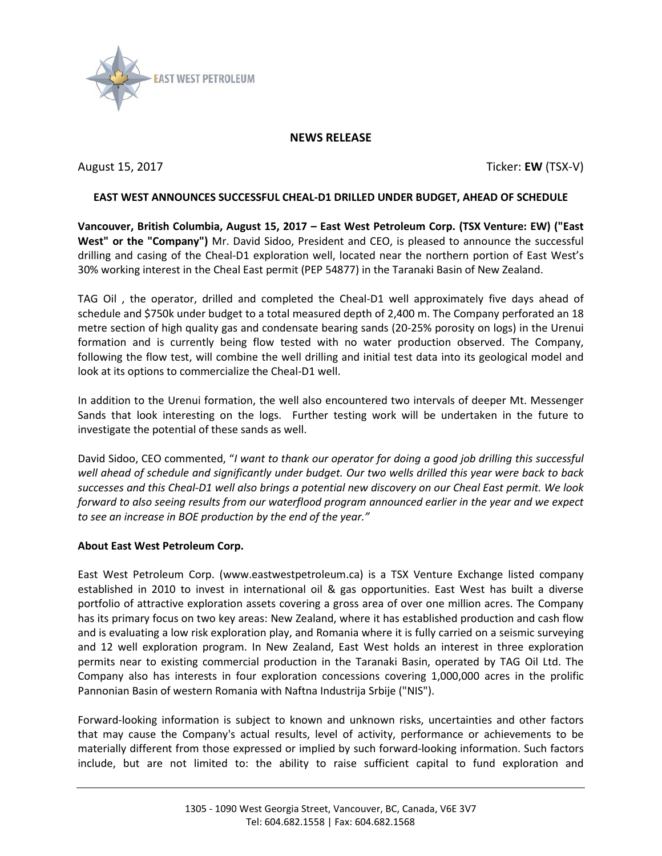

## **NEWS RELEASE**

August 15, 2017 Ticker: **EW** (TSX-V)

## **EAST WEST ANNOUNCES SUCCESSFUL CHEAL-D1 DRILLED UNDER BUDGET, AHEAD OF SCHEDULE**

**Vancouver, British Columbia, August 15, 2017 – East West Petroleum Corp. (TSX Venture: EW) ("East West" or the "Company")** Mr. David Sidoo, President and CEO, is pleased to announce the successful drilling and casing of the Cheal-D1 exploration well, located near the northern portion of East West's 30% working interest in the Cheal East permit (PEP 54877) in the Taranaki Basin of New Zealand.

TAG Oil , the operator, drilled and completed the Cheal-D1 well approximately five days ahead of schedule and \$750k under budget to a total measured depth of 2,400 m. The Company perforated an 18 metre section of high quality gas and condensate bearing sands (20-25% porosity on logs) in the Urenui formation and is currently being flow tested with no water production observed. The Company, following the flow test, will combine the well drilling and initial test data into its geological model and look at its options to commercialize the Cheal-D1 well.

In addition to the Urenui formation, the well also encountered two intervals of deeper Mt. Messenger Sands that look interesting on the logs. Further testing work will be undertaken in the future to investigate the potential of these sands as well.

David Sidoo, CEO commented, "*I want to thank our operator for doing a good job drilling this successful well ahead of schedule and significantly under budget. Our two wells drilled this year were back to back successes and this Cheal-D1 well also brings a potential new discovery on our Cheal East permit. We look forward to also seeing results from our waterflood program announced earlier in the year and we expect to see an increase in BOE production by the end of the year."* 

## **About East West Petroleum Corp.**

East West Petroleum Corp. (www.eastwestpetroleum.ca) is a TSX Venture Exchange listed company established in 2010 to invest in international oil & gas opportunities. East West has built a diverse portfolio of attractive exploration assets covering a gross area of over one million acres. The Company has its primary focus on two key areas: New Zealand, where it has established production and cash flow and is evaluating a low risk exploration play, and Romania where it is fully carried on a seismic surveying and 12 well exploration program. In New Zealand, East West holds an interest in three exploration permits near to existing commercial production in the Taranaki Basin, operated by TAG Oil Ltd. The Company also has interests in four exploration concessions covering 1,000,000 acres in the prolific Pannonian Basin of western Romania with Naftna Industrija Srbije ("NIS").

Forward-looking information is subject to known and unknown risks, uncertainties and other factors that may cause the Company's actual results, level of activity, performance or achievements to be materially different from those expressed or implied by such forward-looking information. Such factors include, but are not limited to: the ability to raise sufficient capital to fund exploration and